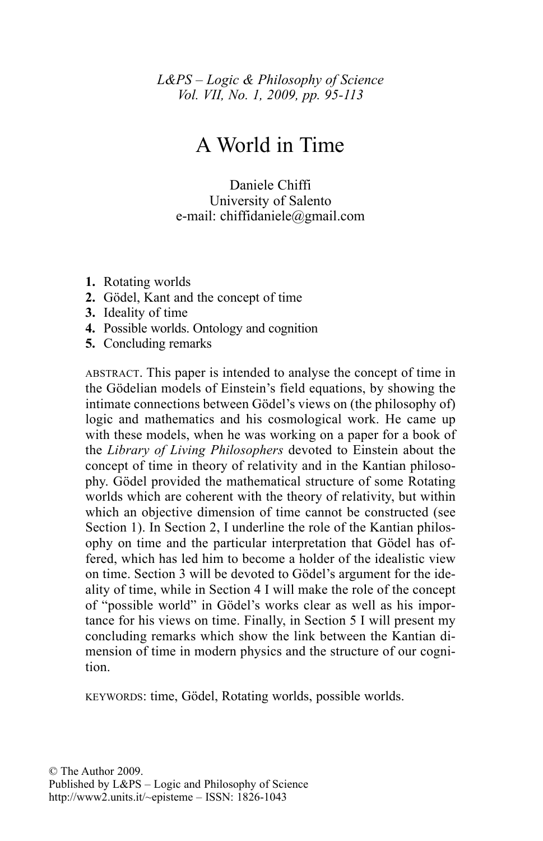*L&PS – Logic & Philosophy of Science Vol. VII, No. 1, 2009, pp. 95-113*

# A World in Time

Daniele Chiffi University of Salento e-mail: chiffidaniele@gmail.com

- **1.** Rotating worlds
- **2.** Gödel, Kant and the concept of time
- **3.** Ideality of time
- **4.** Possible worlds. Ontology and cognition
- **5.** Concluding remarks

ABSTRACT. This paper is intended to analyse the concept of time in the Gödelian models of Einstein's field equations, by showing the intimate connections between Gödel's views on (the philosophy of) logic and mathematics and his cosmological work. He came up with these models, when he was working on a paper for a book of the *Library of Living Philosophers* devoted to Einstein about the concept of time in theory of relativity and in the Kantian philosophy. Gödel provided the mathematical structure of some Rotating worlds which are coherent with the theory of relativity, but within which an objective dimension of time cannot be constructed (see Section 1). In Section 2, I underline the role of the Kantian philosophy on time and the particular interpretation that Gödel has offered, which has led him to become a holder of the idealistic view on time. Section 3 will be devoted to Gödel's argument for the ideality of time, while in Section 4 I will make the role of the concept of "possible world" in Gödel's works clear as well as his importance for his views on time. Finally, in Section 5 I will present my concluding remarks which show the link between the Kantian dimension of time in modern physics and the structure of our cognition.

KEYWORDS: time, Gödel, Rotating worlds, possible worlds.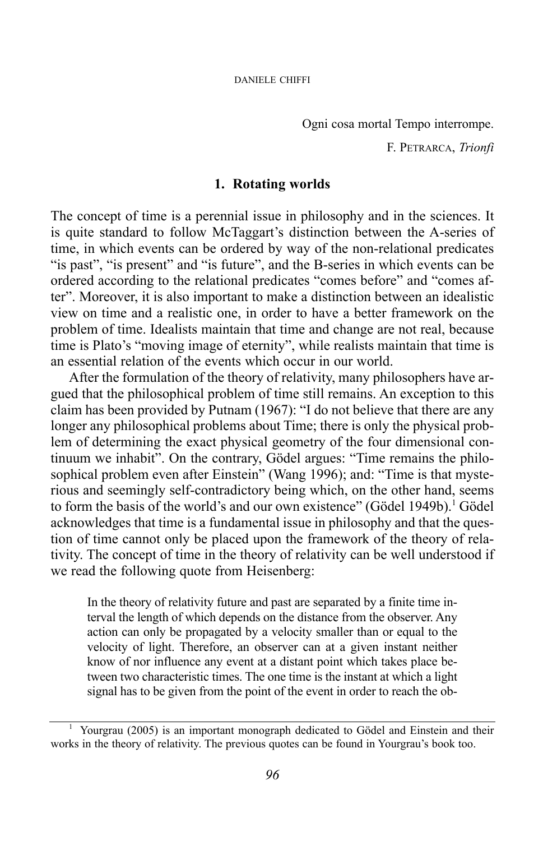Ogni cosa mortal Tempo interrompe.

F. PETRARCA, *Trionfi*

# **1. Rotating worlds**

The concept of time is a perennial issue in philosophy and in the sciences. It is quite standard to follow McTaggart's distinction between the A-series of time, in which events can be ordered by way of the non-relational predicates "is past", "is present" and "is future", and the B-series in which events can be ordered according to the relational predicates "comes before" and "comes after". Moreover, it is also important to make a distinction between an idealistic view on time and a realistic one, in order to have a better framework on the problem of time. Idealists maintain that time and change are not real, because time is Plato's "moving image of eternity", while realists maintain that time is an essential relation of the events which occur in our world.

After the formulation of the theory of relativity, many philosophers have argued that the philosophical problem of time still remains. An exception to this claim has been provided by Putnam (1967): "I do not believe that there are any longer any philosophical problems about Time; there is only the physical problem of determining the exact physical geometry of the four dimensional continuum we inhabit". On the contrary, Gödel argues: "Time remains the philosophical problem even after Einstein" (Wang 1996); and: "Time is that mysterious and seemingly self-contradictory being which, on the other hand, seems to form the basis of the world's and our own existence" (Gödel 1949b).<sup>1</sup> Gödel acknowledges that time is a fundamental issue in philosophy and that the question of time cannot only be placed upon the framework of the theory of relativity. The concept of time in the theory of relativity can be well understood if we read the following quote from Heisenberg:

In the theory of relativity future and past are separated by a finite time interval the length of which depends on the distance from the observer. Any action can only be propagated by a velocity smaller than or equal to the velocity of light. Therefore, an observer can at a given instant neither know of nor influence any event at a distant point which takes place between two characteristic times. The one time is the instant at which a light signal has to be given from the point of the event in order to reach the ob-

<sup>&</sup>lt;sup>1</sup> Yourgrau (2005) is an important monograph dedicated to Gödel and Einstein and their works in the theory of relativity. The previous quotes can be found in Yourgrau's book too.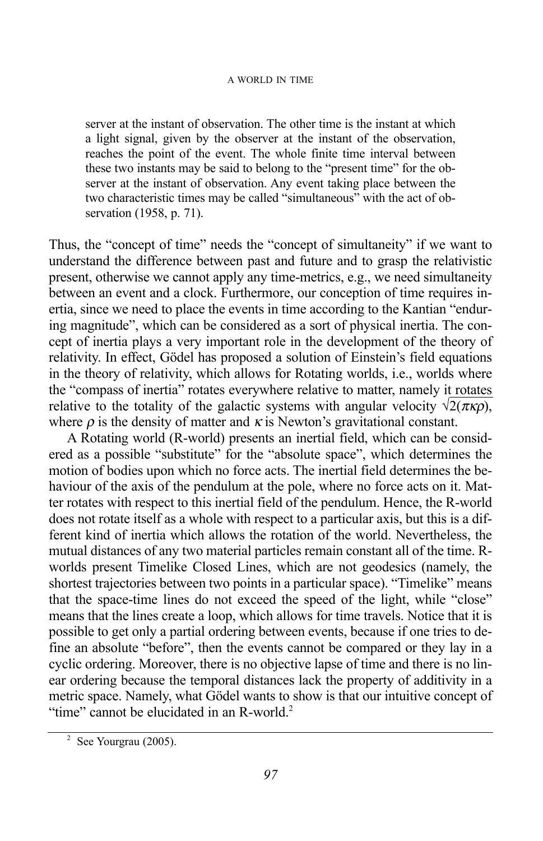server at the instant of observation. The other time is the instant at which a light signal, given by the observer at the instant of the observation, reaches the point of the event. The whole finite time interval between these two instants may be said to belong to the "present time" for the observer at the instant of observation. Any event taking place between the two characteristic times may be called "simultaneous" with the act of observation (1958, p. 71).

Thus, the "concept of time" needs the "concept of simultaneity" if we want to understand the difference between past and future and to grasp the relativistic present, otherwise we cannot apply any time-metrics, e.g., we need simultaneity between an event and a clock. Furthermore, our conception of time requires inertia, since we need to place the events in time according to the Kantian "enduring magnitude", which can be considered as a sort of physical inertia. The concept of inertia plays a very important role in the development of the theory of relativity. In effect, Gödel has proposed a solution of Einstein's field equations in the theory of relativity, which allows for Rotating worlds, i.e., worlds where the "compass of inertia" rotates everywhere relative to matter, namely it rotates relative to the totality of the galactic systems with angular velocity  $\sqrt{2}(\pi \kappa \rho)$ , where  $\rho$  is the density of matter and  $\kappa$  is Newton's gravitational constant.

A Rotating world (R-world) presents an inertial field, which can be considered as a possible "substitute" for the "absolute space", which determines the motion of bodies upon which no force acts. The inertial field determines the behaviour of the axis of the pendulum at the pole, where no force acts on it. Matter rotates with respect to this inertial field of the pendulum. Hence, the R-world does not rotate itself as a whole with respect to a particular axis, but this is a different kind of inertia which allows the rotation of the world. Nevertheless, the mutual distances of any two material particles remain constant all of the time. Rworlds present Timelike Closed Lines, which are not geodesics (namely, the shortest trajectories between two points in a particular space). "Timelike" means that the space-time lines do not exceed the speed of the light, while "close" means that the lines create a loop, which allows for time travels. Notice that it is possible to get only a partial ordering between events, because if one tries to define an absolute "before", then the events cannot be compared or they lay in a cyclic ordering. Moreover, there is no objective lapse of time and there is no linear ordering because the temporal distances lack the property of additivity in a metric space. Namely, what Gödel wants to show is that our intuitive concept of "time" cannot be elucidated in an R-world. $2$ 

 $2$  See Yourgrau (2005).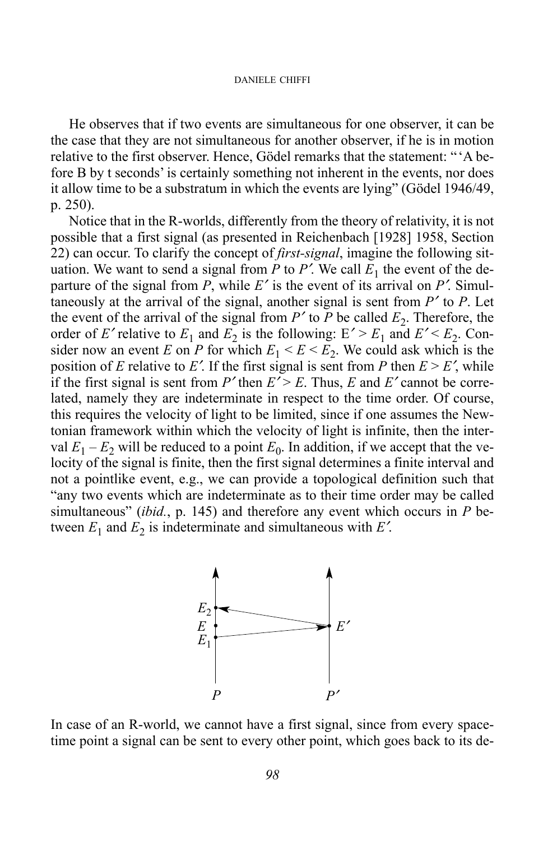He observes that if two events are simultaneous for one observer, it can be the case that they are not simultaneous for another observer, if he is in motion relative to the first observer. Hence, Gödel remarks that the statement: "'A before B by t seconds' is certainly something not inherent in the events, nor does it allow time to be a substratum in which the events are lying" (Gödel 1946/49, p. 250).

Notice that in the R-worlds, differently from the theory of relativity, it is not possible that a first signal (as presented in Reichenbach [1928] 1958, Section 22) can occur. To clarify the concept of *first-signal*, imagine the following situation. We want to send a signal from *P* to *P'*. We call  $E_1$  the event of the departure of the signal from *P*, while *E*′ is the event of its arrival on *P*′. Simultaneously at the arrival of the signal, another signal is sent from *P*′ to *P*. Let the event of the arrival of the signal from  $P'$  to  $P$  be called  $E_2$ . Therefore, the order of *E'* relative to  $E_1$  and  $E_2$  is the following:  $E' > E_1$  and  $E' < E_2$ . Consider now an event *E* on *P* for which  $E_1 \le E \le E_2$ . We could ask which is the position of *E* relative to *E'*. If the first signal is sent from *P* then  $E > E'$ , while if the first signal is sent from  $P'$  then  $E' > E$ . Thus, E and E' cannot be correlated, namely they are indeterminate in respect to the time order. Of course, this requires the velocity of light to be limited, since if one assumes the Newtonian framework within which the velocity of light is infinite, then the interval  $E_1 - E_2$  will be reduced to a point  $E_0$ . In addition, if we accept that the velocity of the signal is finite, then the first signal determines a finite interval and not a pointlike event, e.g., we can provide a topological definition such that "any two events which are indeterminate as to their time order may be called simultaneous" (*ibid.*, p. 145) and therefore any event which occurs in *P* between  $E_1$  and  $E_2$  is indeterminate and simultaneous with  $E'$ .



In case of an R-world, we cannot have a first signal, since from every spacetime point a signal can be sent to every other point, which goes back to its de-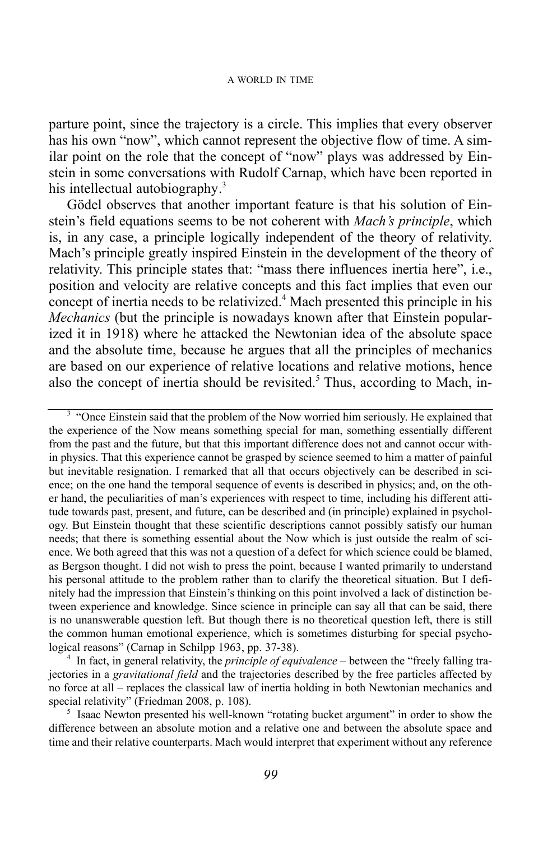parture point, since the trajectory is a circle. This implies that every observer has his own "now", which cannot represent the objective flow of time. A similar point on the role that the concept of "now" plays was addressed by Einstein in some conversations with Rudolf Carnap, which have been reported in his intellectual autobiography.<sup>3</sup>

Gödel observes that another important feature is that his solution of Einstein's field equations seems to be not coherent with *Mach's principle*, which is, in any case, a principle logically independent of the theory of relativity. Mach's principle greatly inspired Einstein in the development of the theory of relativity. This principle states that: "mass there influences inertia here", i.e., position and velocity are relative concepts and this fact implies that even our concept of inertia needs to be relativized. $4$  Mach presented this principle in his *Mechanics* (but the principle is nowadays known after that Einstein popularized it in 1918) where he attacked the Newtonian idea of the absolute space and the absolute time, because he argues that all the principles of mechanics are based on our experience of relative locations and relative motions, hence also the concept of inertia should be revisited.<sup>5</sup> Thus, according to Mach, in-

<sup>3</sup> "Once Einstein said that the problem of the Now worried him seriously. He explained that the experience of the Now means something special for man, something essentially different from the past and the future, but that this important difference does not and cannot occur within physics. That this experience cannot be grasped by science seemed to him a matter of painful but inevitable resignation. I remarked that all that occurs objectively can be described in science; on the one hand the temporal sequence of events is described in physics; and, on the other hand, the peculiarities of man's experiences with respect to time, including his different attitude towards past, present, and future, can be described and (in principle) explained in psychology. But Einstein thought that these scientific descriptions cannot possibly satisfy our human needs; that there is something essential about the Now which is just outside the realm of science. We both agreed that this was not a question of a defect for which science could be blamed, as Bergson thought. I did not wish to press the point, because I wanted primarily to understand his personal attitude to the problem rather than to clarify the theoretical situation. But I definitely had the impression that Einstein's thinking on this point involved a lack of distinction between experience and knowledge. Since science in principle can say all that can be said, there is no unanswerable question left. But though there is no theoretical question left, there is still the common human emotional experience, which is sometimes disturbing for special psychological reasons" (Carnap in Schilpp 1963, pp. 37-38).

<sup>4</sup> In fact, in general relativity, the *principle of equivalence* – between the "freely falling trajectories in a *gravitational field* and the trajectories described by the free particles affected by no force at all – replaces the classical law of inertia holding in both Newtonian mechanics and special relativity" (Friedman 2008, p. 108).

<sup>5</sup> Isaac Newton presented his well-known "rotating bucket argument" in order to show the difference between an absolute motion and a relative one and between the absolute space and time and their relative counterparts. Mach would interpret that experiment without any reference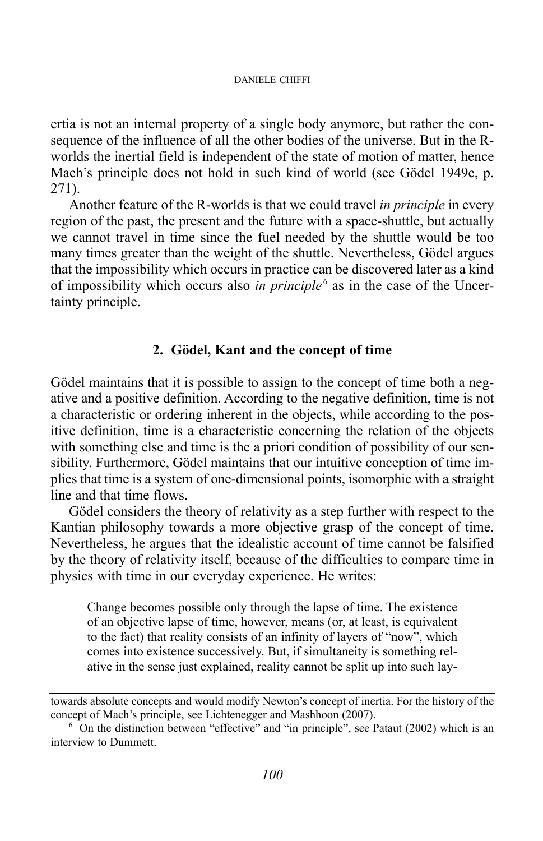ertia is not an internal property of a single body anymore, but rather the consequence of the influence of all the other bodies of the universe. But in the Rworlds the inertial field is independent of the state of motion of matter, hence Mach's principle does not hold in such kind of world (see Gödel 1949c, p. 271).

Another feature of the R-worlds is that we could travel *in principle* in every region of the past, the present and the future with a space-shuttle, but actually we cannot travel in time since the fuel needed by the shuttle would be too many times greater than the weight of the shuttle. Nevertheless, Gödel argues that the impossibility which occurs in practice can be discovered later as a kind of impossibility which occurs also *in principle*<sup>6</sup> as in the case of the Uncertainty principle.

# **2. Gödel, Kant and the concept of time**

Gödel maintains that it is possible to assign to the concept of time both a negative and a positive definition. According to the negative definition, time is not a characteristic or ordering inherent in the objects, while according to the positive definition, time is a characteristic concerning the relation of the objects with something else and time is the a priori condition of possibility of our sensibility. Furthermore, Gödel maintains that our intuitive conception of time implies that time is a system of one-dimensional points, isomorphic with a straight line and that time flows.

Gödel considers the theory of relativity as a step further with respect to the Kantian philosophy towards a more objective grasp of the concept of time. Nevertheless, he argues that the idealistic account of time cannot be falsified by the theory of relativity itself, because of the difficulties to compare time in physics with time in our everyday experience. He writes:

Change becomes possible only through the lapse of time. The existence of an objective lapse of time, however, means (or, at least, is equivalent to the fact) that reality consists of an infinity of layers of "now", which comes into existence successively. But, if simultaneity is something relative in the sense just explained, reality cannot be split up into such lay-

towards absolute concepts and would modify Newton's concept of inertia. For the history of the concept of Mach's principle, see Lichtenegger and Mashhoon (2007). 6 On the distinction between "effective" and "in principle", see Pataut (2002) which is an

interview to Dummett.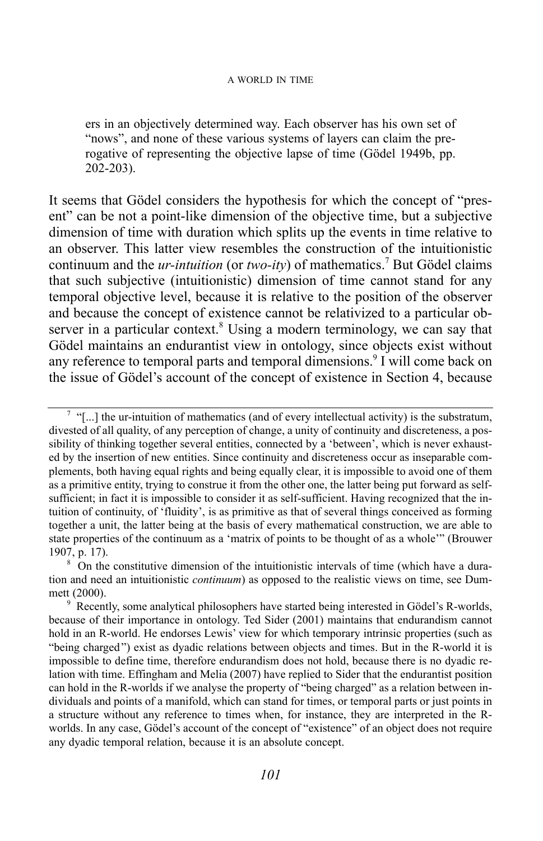ers in an objectively determined way. Each observer has his own set of "nows", and none of these various systems of layers can claim the prerogative of representing the objective lapse of time (Gödel 1949b, pp. 202-203).

It seems that Gödel considers the hypothesis for which the concept of "present" can be not a point-like dimension of the objective time, but a subjective dimension of time with duration which splits up the events in time relative to an observer. This latter view resembles the construction of the intuitionistic continuum and the *ur-intuition* (or *two-ity*) of mathematics.<sup>7</sup> But Gödel claims that such subjective (intuitionistic) dimension of time cannot stand for any temporal objective level, because it is relative to the position of the observer and because the concept of existence cannot be relativized to a particular observer in a particular context.<sup>8</sup> Using a modern terminology, we can say that Gödel maintains an endurantist view in ontology, since objects exist without any reference to temporal parts and temporal dimensions.<sup>9</sup> I will come back on the issue of Gödel's account of the concept of existence in Section 4, because

 $7$  "[...] the ur-intuition of mathematics (and of every intellectual activity) is the substratum, divested of all quality, of any perception of change, a unity of continuity and discreteness, a possibility of thinking together several entities, connected by a 'between', which is never exhausted by the insertion of new entities. Since continuity and discreteness occur as inseparable complements, both having equal rights and being equally clear, it is impossible to avoid one of them as a primitive entity, trying to construe it from the other one, the latter being put forward as selfsufficient; in fact it is impossible to consider it as self-sufficient. Having recognized that the intuition of continuity, of 'fluidity', is as primitive as that of several things conceived as forming together a unit, the latter being at the basis of every mathematical construction, we are able to state properties of the continuum as a 'matrix of points to be thought of as a whole'" (Brouwer 1907, p. 17).

<sup>&</sup>lt;sup>8</sup> On the constitutive dimension of the intuitionistic intervals of time (which have a duration and need an intuitionistic *continuum*) as opposed to the realistic views on time, see Dummett (2000).

<sup>9</sup> Recently, some analytical philosophers have started being interested in Gödel's R-worlds, because of their importance in ontology. Ted Sider (2001) maintains that endurandism cannot hold in an R-world. He endorses Lewis' view for which temporary intrinsic properties (such as "being charged ") exist as dyadic relations between objects and times. But in the R-world it is impossible to define time, therefore endurandism does not hold, because there is no dyadic relation with time. Effingham and Melia (2007) have replied to Sider that the endurantist position can hold in the R-worlds if we analyse the property of "being charged" as a relation between individuals and points of a manifold, which can stand for times, or temporal parts or just points in a structure without any reference to times when, for instance, they are interpreted in the Rworlds. In any case, Gödel's account of the concept of "existence" of an object does not require any dyadic temporal relation, because it is an absolute concept.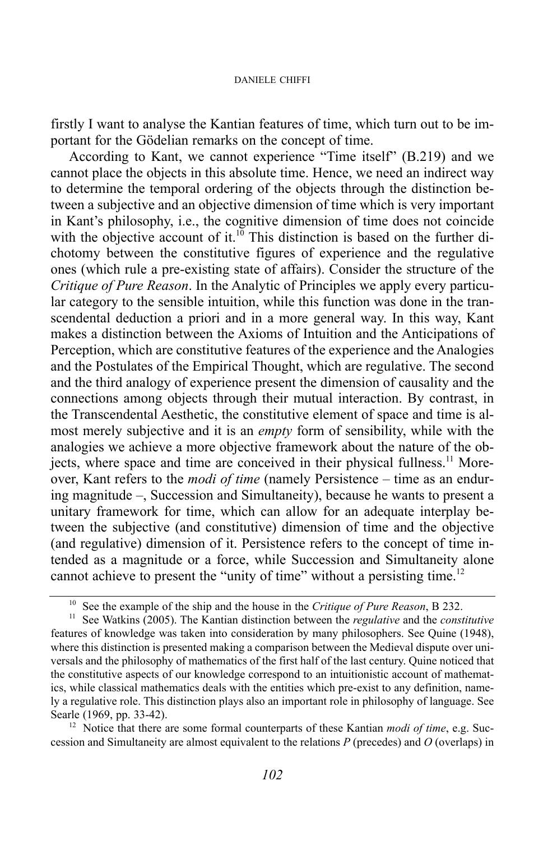firstly I want to analyse the Kantian features of time, which turn out to be important for the Gödelian remarks on the concept of time.

According to Kant, we cannot experience "Time itself" (B.219) and we cannot place the objects in this absolute time. Hence, we need an indirect way to determine the temporal ordering of the objects through the distinction between a subjective and an objective dimension of time which is very important in Kant's philosophy, i.e., the cognitive dimension of time does not coincide with the objective account of it.<sup>10</sup> This distinction is based on the further dichotomy between the constitutive figures of experience and the regulative ones (which rule a pre-existing state of affairs). Consider the structure of the *Critique of Pure Reason*. In the Analytic of Principles we apply every particular category to the sensible intuition, while this function was done in the transcendental deduction a priori and in a more general way. In this way, Kant makes a distinction between the Axioms of Intuition and the Anticipations of Perception, which are constitutive features of the experience and the Analogies and the Postulates of the Empirical Thought, which are regulative. The second and the third analogy of experience present the dimension of causality and the connections among objects through their mutual interaction. By contrast, in the Transcendental Aesthetic, the constitutive element of space and time is almost merely subjective and it is an *empty* form of sensibility, while with the analogies we achieve a more objective framework about the nature of the objects, where space and time are conceived in their physical fullness.<sup>11</sup> Moreover, Kant refers to the *modi of time* (namely Persistence – time as an enduring magnitude –, Succession and Simultaneity), because he wants to present a unitary framework for time, which can allow for an adequate interplay between the subjective (and constitutive) dimension of time and the objective (and regulative) dimension of it. Persistence refers to the concept of time intended as a magnitude or a force, while Succession and Simultaneity alone cannot achieve to present the "unity of time" without a persisting time.<sup>12</sup>

<sup>12</sup> Notice that there are some formal counterparts of these Kantian *modi of time*, e.g. Succession and Simultaneity are almost equivalent to the relations *P* (precedes) and *O* (overlaps) in

<sup>10</sup> See the example of the ship and the house in the *Critique of Pure Reason*, B 232.

<sup>11</sup> See Watkins (2005). The Kantian distinction between the *regulative* and the *constitutive* features of knowledge was taken into consideration by many philosophers. See Quine (1948), where this distinction is presented making a comparison between the Medieval dispute over universals and the philosophy of mathematics of the first half of the last century. Quine noticed that the constitutive aspects of our knowledge correspond to an intuitionistic account of mathematics, while classical mathematics deals with the entities which pre-exist to any definition, namely a regulative role. This distinction plays also an important role in philosophy of language. See Searle (1969, pp. 33-42).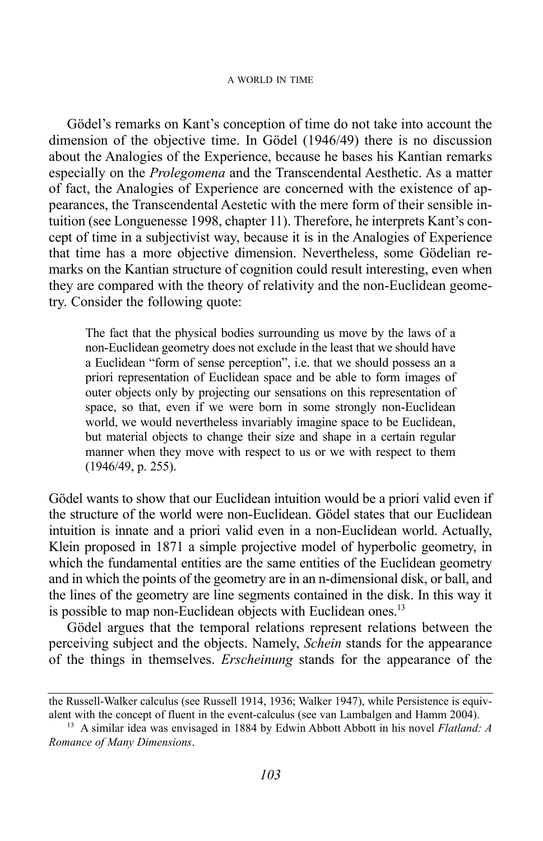Gödel's remarks on Kant's conception of time do not take into account the dimension of the objective time. In Gödel (1946/49) there is no discussion about the Analogies of the Experience, because he bases his Kantian remarks especially on the *Prolegomena* and the Transcendental Aesthetic. As a matter of fact, the Analogies of Experience are concerned with the existence of appearances, the Transcendental Aestetic with the mere form of their sensible intuition (see Longuenesse 1998, chapter 11). Therefore, he interprets Kant's concept of time in a subjectivist way, because it is in the Analogies of Experience that time has a more objective dimension. Nevertheless, some Gödelian remarks on the Kantian structure of cognition could result interesting, even when they are compared with the theory of relativity and the non-Euclidean geometry. Consider the following quote:

The fact that the physical bodies surrounding us move by the laws of a non-Euclidean geometry does not exclude in the least that we should have a Euclidean "form of sense perception", i.e. that we should possess an a priori representation of Euclidean space and be able to form images of outer objects only by projecting our sensations on this representation of space, so that, even if we were born in some strongly non-Euclidean world, we would nevertheless invariably imagine space to be Euclidean, but material objects to change their size and shape in a certain regular manner when they move with respect to us or we with respect to them (1946/49, p. 255).

Gödel wants to show that our Euclidean intuition would be a priori valid even if the structure of the world were non-Euclidean. Gödel states that our Euclidean intuition is innate and a priori valid even in a non-Euclidean world. Actually, Klein proposed in 1871 a simple projective model of hyperbolic geometry, in which the fundamental entities are the same entities of the Euclidean geometry and in which the points of the geometry are in an n-dimensional disk, or ball, and the lines of the geometry are line segments contained in the disk. In this way it is possible to map non-Euclidean objects with Euclidean ones.<sup>13</sup>

Gödel argues that the temporal relations represent relations between the perceiving subject and the objects. Namely, *Schein* stands for the appearance of the things in themselves. *Erscheinung* stands for the appearance of the

the Russell-Walker calculus (see Russell 1914, 1936; Walker 1947), while Persistence is equivalent with the concept of fluent in the event-calculus (see van Lambalgen and Hamm 2004).

<sup>13</sup> A similar idea was envisaged in 1884 by Edwin Abbott Abbott in his novel *Flatland: A Romance of Many Dimensions*.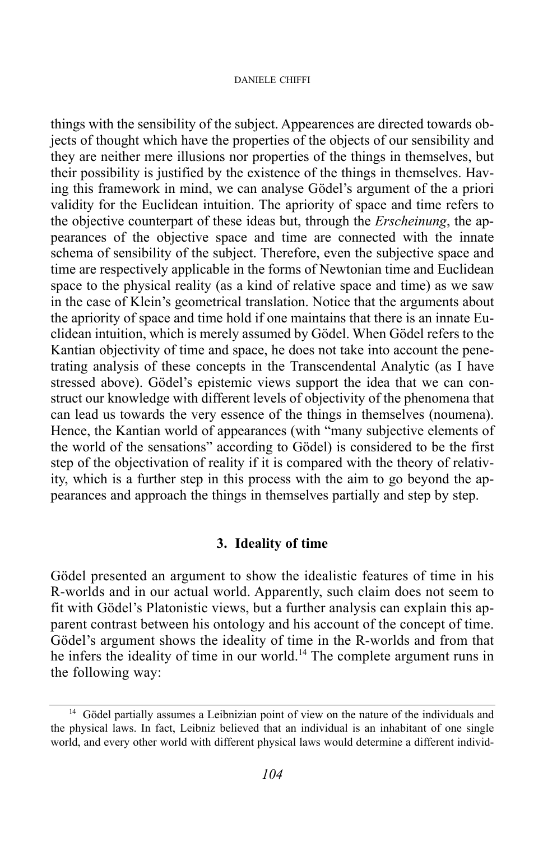things with the sensibility of the subject. Appearences are directed towards objects of thought which have the properties of the objects of our sensibility and they are neither mere illusions nor properties of the things in themselves, but their possibility is justified by the existence of the things in themselves. Having this framework in mind, we can analyse Gödel's argument of the a priori validity for the Euclidean intuition. The apriority of space and time refers to the objective counterpart of these ideas but, through the *Erscheinung*, the appearances of the objective space and time are connected with the innate schema of sensibility of the subject. Therefore, even the subjective space and time are respectively applicable in the forms of Newtonian time and Euclidean space to the physical reality (as a kind of relative space and time) as we saw in the case of Klein's geometrical translation. Notice that the arguments about the apriority of space and time hold if one maintains that there is an innate Euclidean intuition, which is merely assumed by Gödel. When Gödel refers to the Kantian objectivity of time and space, he does not take into account the penetrating analysis of these concepts in the Transcendental Analytic (as I have stressed above). Gödel's epistemic views support the idea that we can construct our knowledge with different levels of objectivity of the phenomena that can lead us towards the very essence of the things in themselves (noumena). Hence, the Kantian world of appearances (with "many subjective elements of the world of the sensations" according to Gödel) is considered to be the first step of the objectivation of reality if it is compared with the theory of relativity, which is a further step in this process with the aim to go beyond the appearances and approach the things in themselves partially and step by step.

# **3. Ideality of time**

Gödel presented an argument to show the idealistic features of time in his R-worlds and in our actual world. Apparently, such claim does not seem to fit with Gödel's Platonistic views, but a further analysis can explain this apparent contrast between his ontology and his account of the concept of time. Gödel's argument shows the ideality of time in the R-worlds and from that he infers the ideality of time in our world.<sup>14</sup> The complete argument runs in the following way:

<sup>&</sup>lt;sup>14</sup> Gödel partially assumes a Leibnizian point of view on the nature of the individuals and the physical laws. In fact, Leibniz believed that an individual is an inhabitant of one single world, and every other world with different physical laws would determine a different individ-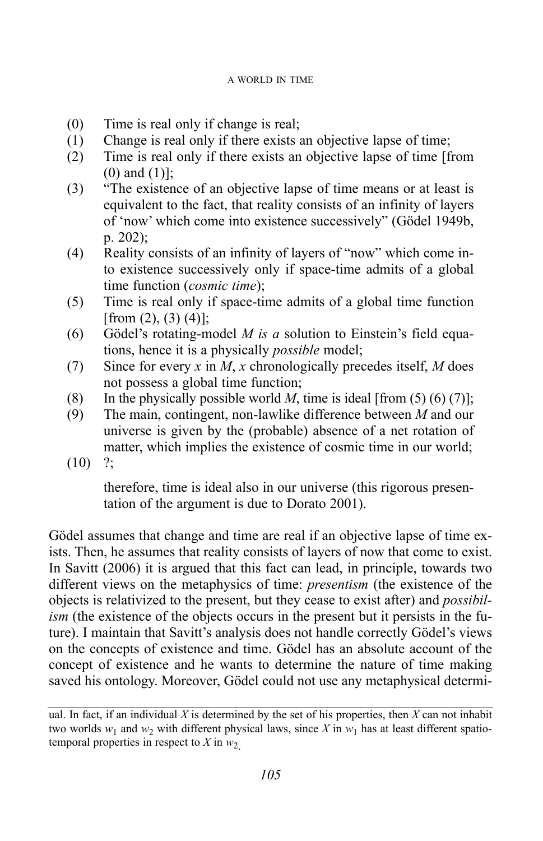- (0) Time is real only if change is real;
- (1) Change is real only if there exists an objective lapse of time;
- (2) Time is real only if there exists an objective lapse of time [from (0) and (1)];
- (3) "The existence of an objective lapse of time means or at least is equivalent to the fact, that reality consists of an infinity of layers of 'now' which come into existence successively" (Gödel 1949b, p. 202);
- (4) Reality consists of an infinity of layers of "now" which come into existence successively only if space-time admits of a global time function (*cosmic time*);
- (5) Time is real only if space-time admits of a global time function  $[from (2), (3), (4)]$ ;
- (6) Gödel's rotating-model *M is a* solution to Einstein's field equations, hence it is a physically *possible* model;
- (7) Since for every *x* in *M*, *x* chronologically precedes itself, *M* does not possess a global time function;
- (8) In the physically possible world *M*, time is ideal [from (5) (6) (7)];
- (9) The main, contingent, non-lawlike difference between *M* and our universe is given by the (probable) absence of a net rotation of matter, which implies the existence of cosmic time in our world;
- $(10)$  ?;

therefore, time is ideal also in our universe (this rigorous presentation of the argument is due to Dorato 2001).

Gödel assumes that change and time are real if an objective lapse of time exists. Then, he assumes that reality consists of layers of now that come to exist. In Savitt (2006) it is argued that this fact can lead, in principle, towards two different views on the metaphysics of time: *presentism* (the existence of the objects is relativized to the present, but they cease to exist after) and *possibilism* (the existence of the objects occurs in the present but it persists in the future). I maintain that Savitt's analysis does not handle correctly Gödel's views on the concepts of existence and time. Gödel has an absolute account of the concept of existence and he wants to determine the nature of time making saved his ontology. Moreover, Gödel could not use any metaphysical determi-

ual. In fact, if an individual *X* is determined by the set of his properties, then *X* can not inhabit two worlds  $w_1$  and  $w_2$  with different physical laws, since *X* in  $w_1$  has at least different spatiotemporal properties in respect to  $X$  in  $w_2$ .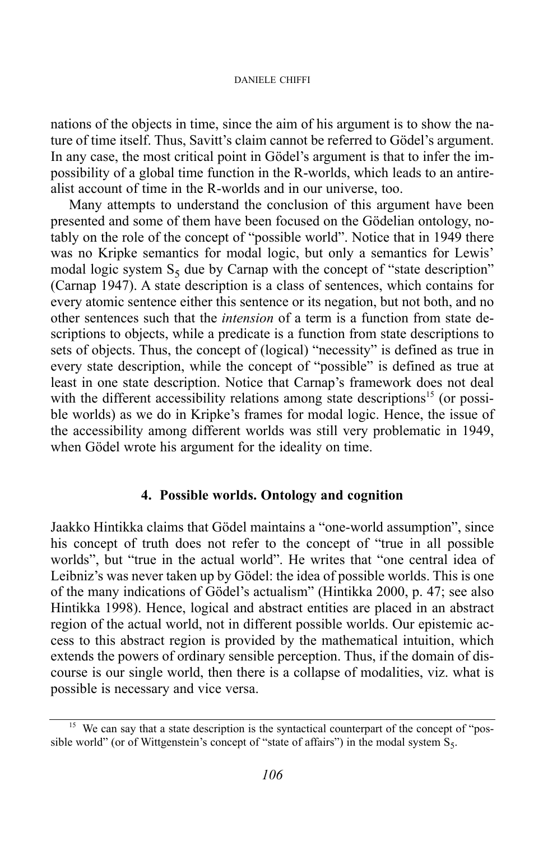nations of the objects in time, since the aim of his argument is to show the nature of time itself. Thus, Savitt's claim cannot be referred to Gödel's argument. In any case, the most critical point in Gödel's argument is that to infer the impossibility of a global time function in the R-worlds, which leads to an antirealist account of time in the R-worlds and in our universe, too.

Many attempts to understand the conclusion of this argument have been presented and some of them have been focused on the Gödelian ontology, notably on the role of the concept of "possible world". Notice that in 1949 there was no Kripke semantics for modal logic, but only a semantics for Lewis' modal logic system  $S_5$  due by Carnap with the concept of "state description" (Carnap 1947). A state description is a class of sentences, which contains for every atomic sentence either this sentence or its negation, but not both, and no other sentences such that the *intension* of a term is a function from state descriptions to objects, while a predicate is a function from state descriptions to sets of objects. Thus, the concept of (logical) "necessity" is defined as true in every state description, while the concept of "possible" is defined as true at least in one state description. Notice that Carnap's framework does not deal with the different accessibility relations among state descriptions<sup>15</sup> (or possible worlds) as we do in Kripke's frames for modal logic. Hence, the issue of the accessibility among different worlds was still very problematic in 1949, when Gödel wrote his argument for the ideality on time.

# **4. Possible worlds. Ontology and cognition**

Jaakko Hintikka claims that Gödel maintains a "one-world assumption", since his concept of truth does not refer to the concept of "true in all possible worlds", but "true in the actual world". He writes that "one central idea of Leibniz's was never taken up by Gödel: the idea of possible worlds. This is one of the many indications of Gödel's actualism" (Hintikka 2000, p. 47; see also Hintikka 1998). Hence, logical and abstract entities are placed in an abstract region of the actual world, not in different possible worlds. Our epistemic access to this abstract region is provided by the mathematical intuition, which extends the powers of ordinary sensible perception. Thus, if the domain of discourse is our single world, then there is a collapse of modalities, viz. what is possible is necessary and vice versa.

<sup>&</sup>lt;sup>15</sup> We can say that a state description is the syntactical counterpart of the concept of "possible world" (or of Wittgenstein's concept of "state of affairs") in the modal system  $S_5$ .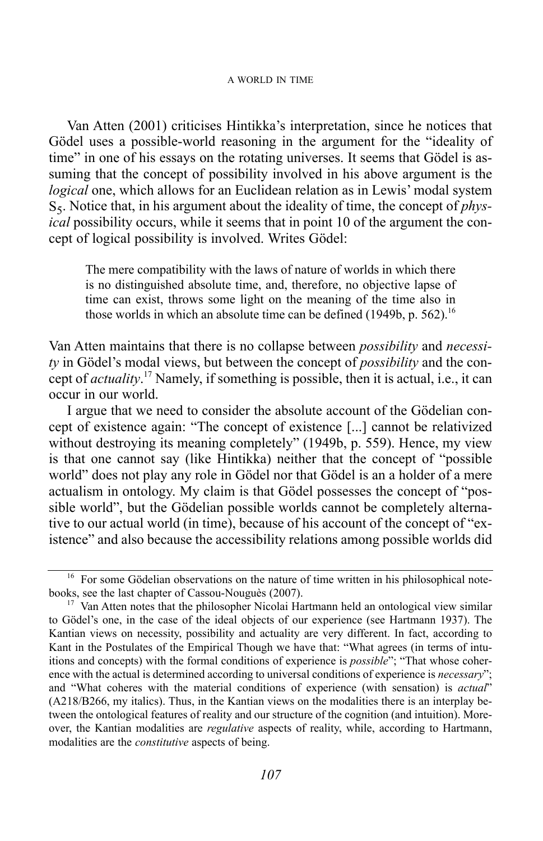Van Atten (2001) criticises Hintikka's interpretation, since he notices that Gödel uses a possible-world reasoning in the argument for the "ideality of time" in one of his essays on the rotating universes. It seems that Gödel is assuming that the concept of possibility involved in his above argument is the *logical* one, which allows for an Euclidean relation as in Lewis' modal system S5. Notice that, in his argument about the ideality of time, the concept of *physical* possibility occurs, while it seems that in point 10 of the argument the concept of logical possibility is involved. Writes Gödel:

The mere compatibility with the laws of nature of worlds in which there is no distinguished absolute time, and, therefore, no objective lapse of time can exist, throws some light on the meaning of the time also in those worlds in which an absolute time can be defined  $(1949b, p. 562)$ .<sup>16</sup>

Van Atten maintains that there is no collapse between *possibility* and *necessity* in Gödel's modal views, but between the concept of *possibility* and the concept of *actuality*. <sup>17</sup> Namely, if something is possible, then it is actual, i.e., it can occur in our world.

I argue that we need to consider the absolute account of the Gödelian concept of existence again: "The concept of existence [...] cannot be relativized without destroying its meaning completely" (1949b, p. 559). Hence, my view is that one cannot say (like Hintikka) neither that the concept of "possible world" does not play any role in Gödel nor that Gödel is an a holder of a mere actualism in ontology. My claim is that Gödel possesses the concept of "possible world", but the Gödelian possible worlds cannot be completely alternative to our actual world (in time), because of his account of the concept of "existence" and also because the accessibility relations among possible worlds did

<sup>&</sup>lt;sup>16</sup> For some Gödelian observations on the nature of time written in his philosophical notebooks, see the last chapter of Cassou-Nouguès (2007).

<sup>&</sup>lt;sup>17</sup> Van Atten notes that the philosopher Nicolai Hartmann held an ontological view similar to Gödel's one, in the case of the ideal objects of our experience (see Hartmann 1937). The Kantian views on necessity, possibility and actuality are very different. In fact, according to Kant in the Postulates of the Empirical Though we have that: "What agrees (in terms of intuitions and concepts) with the formal conditions of experience is *possible*"; "That whose coherence with the actual is determined according to universal conditions of experience is *necessary*"; and "What coheres with the material conditions of experience (with sensation) is *actual*" (A218/B266, my italics). Thus, in the Kantian views on the modalities there is an interplay between the ontological features of reality and our structure of the cognition (and intuition). Moreover, the Kantian modalities are *regulative* aspects of reality, while, according to Hartmann, modalities are the *constitutive* aspects of being.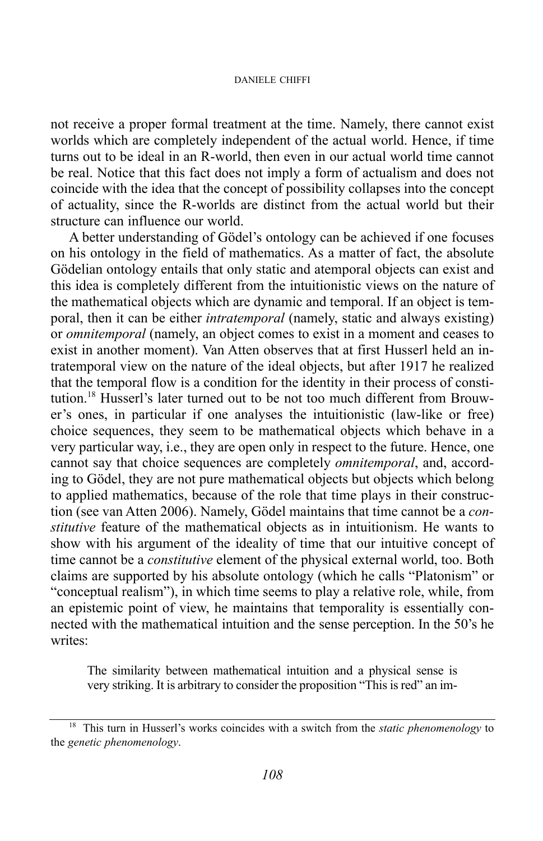not receive a proper formal treatment at the time. Namely, there cannot exist worlds which are completely independent of the actual world. Hence, if time turns out to be ideal in an R-world, then even in our actual world time cannot be real. Notice that this fact does not imply a form of actualism and does not coincide with the idea that the concept of possibility collapses into the concept of actuality, since the R-worlds are distinct from the actual world but their structure can influence our world.

A better understanding of Gödel's ontology can be achieved if one focuses on his ontology in the field of mathematics. As a matter of fact, the absolute Gödelian ontology entails that only static and atemporal objects can exist and this idea is completely different from the intuitionistic views on the nature of the mathematical objects which are dynamic and temporal. If an object is temporal, then it can be either *intratemporal* (namely, static and always existing) or *omnitemporal* (namely, an object comes to exist in a moment and ceases to exist in another moment). Van Atten observes that at first Husserl held an intratemporal view on the nature of the ideal objects, but after 1917 he realized that the temporal flow is a condition for the identity in their process of constitution.<sup>18</sup> Husserl's later turned out to be not too much different from Brouwer's ones, in particular if one analyses the intuitionistic (law-like or free) choice sequences, they seem to be mathematical objects which behave in a very particular way, i.e., they are open only in respect to the future. Hence, one cannot say that choice sequences are completely *omnitemporal*, and, according to Gödel, they are not pure mathematical objects but objects which belong to applied mathematics, because of the role that time plays in their construction (see van Atten 2006). Namely, Gödel maintains that time cannot be a *constitutive* feature of the mathematical objects as in intuitionism. He wants to show with his argument of the ideality of time that our intuitive concept of time cannot be a *constitutive* element of the physical external world, too. Both claims are supported by his absolute ontology (which he calls "Platonism" or "conceptual realism"), in which time seems to play a relative role, while, from an epistemic point of view, he maintains that temporality is essentially connected with the mathematical intuition and the sense perception. In the 50's he writes:

The similarity between mathematical intuition and a physical sense is very striking. It is arbitrary to consider the proposition "This is red" an im-

<sup>&</sup>lt;sup>18</sup> This turn in Husserl's works coincides with a switch from the *static phenomenology* to the *genetic phenomenology*.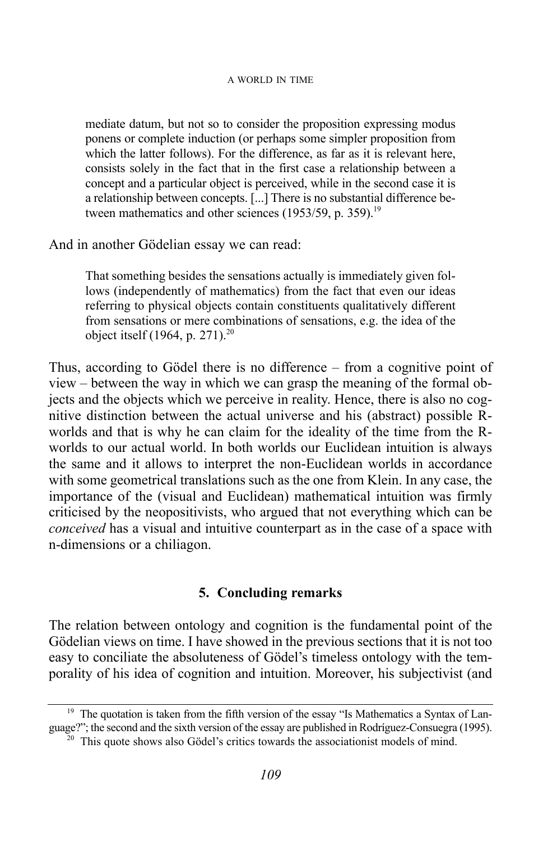mediate datum, but not so to consider the proposition expressing modus ponens or complete induction (or perhaps some simpler proposition from which the latter follows). For the difference, as far as it is relevant here. consists solely in the fact that in the first case a relationship between a concept and a particular object is perceived, while in the second case it is a relationship between concepts. [...] There is no substantial difference between mathematics and other sciences  $(1953/59, p. 359).$ <sup>19</sup>

And in another Gödelian essay we can read:

That something besides the sensations actually is immediately given follows (independently of mathematics) from the fact that even our ideas referring to physical objects contain constituents qualitatively different from sensations or mere combinations of sensations, e.g. the idea of the object itself  $(1964, p. 271)^{20}$ 

Thus, according to Gödel there is no difference – from a cognitive point of view – between the way in which we can grasp the meaning of the formal objects and the objects which we perceive in reality. Hence, there is also no cognitive distinction between the actual universe and his (abstract) possible Rworlds and that is why he can claim for the ideality of the time from the Rworlds to our actual world. In both worlds our Euclidean intuition is always the same and it allows to interpret the non-Euclidean worlds in accordance with some geometrical translations such as the one from Klein. In any case, the importance of the (visual and Euclidean) mathematical intuition was firmly criticised by the neopositivists, who argued that not everything which can be *conceived* has a visual and intuitive counterpart as in the case of a space with n-dimensions or a chiliagon.

# **5. Concluding remarks**

The relation between ontology and cognition is the fundamental point of the Gödelian views on time. I have showed in the previous sections that it is not too easy to conciliate the absoluteness of Gödel's timeless ontology with the temporality of his idea of cognition and intuition. Moreover, his subjectivist (and

 $19$  The quotation is taken from the fifth version of the essay "Is Mathematics a Syntax of Language?"; the second and the sixth version of the essay are published in Rodríguez-Consuegra (1995).

<sup>&</sup>lt;sup>20</sup> This quote shows also Gödel's critics towards the associationist models of mind.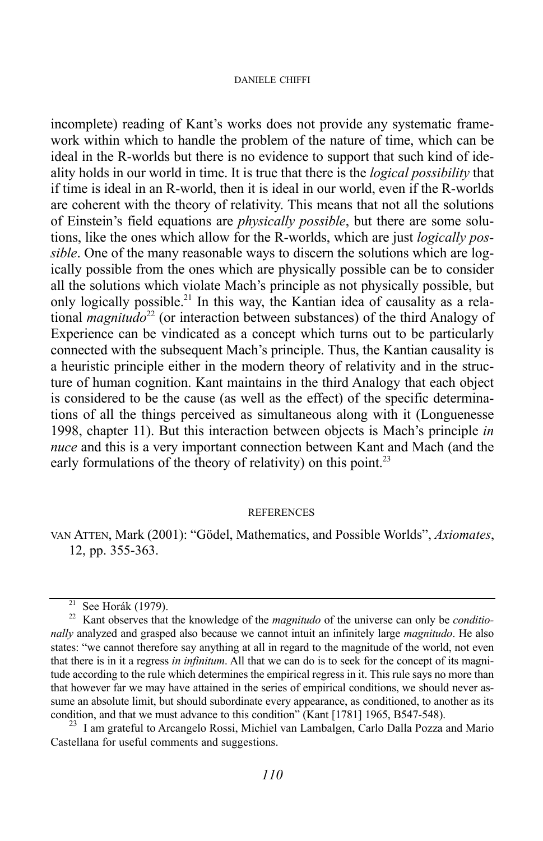incomplete) reading of Kant's works does not provide any systematic framework within which to handle the problem of the nature of time, which can be ideal in the R-worlds but there is no evidence to support that such kind of ideality holds in our world in time. It is true that there is the *logical possibility* that if time is ideal in an R-world, then it is ideal in our world, even if the R-worlds are coherent with the theory of relativity. This means that not all the solutions of Einstein's field equations are *physically possible*, but there are some solutions, like the ones which allow for the R-worlds, which are just *logically possible*. One of the many reasonable ways to discern the solutions which are logically possible from the ones which are physically possible can be to consider all the solutions which violate Mach's principle as not physically possible, but only logically possible.<sup>21</sup> In this way, the Kantian idea of causality as a relational *magnitudo*<sup>22</sup> (or interaction between substances) of the third Analogy of Experience can be vindicated as a concept which turns out to be particularly connected with the subsequent Mach's principle. Thus, the Kantian causality is a heuristic principle either in the modern theory of relativity and in the structure of human cognition. Kant maintains in the third Analogy that each object is considered to be the cause (as well as the effect) of the specific determinations of all the things perceived as simultaneous along with it (Longuenesse 1998, chapter 11). But this interaction between objects is Mach's principle *in nuce* and this is a very important connection between Kant and Mach (and the early formulations of the theory of relativity) on this point.<sup>23</sup>

### **REFERENCES**

VAN ATTEN, Mark (2001): "Gödel, Mathematics, and Possible Worlds", *Axiomates*, 12, pp. 355-363.

 $^{23}$  I am grateful to Arcangelo Rossi, Michiel van Lambalgen, Carlo Dalla Pozza and Mario Castellana for useful comments and suggestions.

 $\overline{21}$  See Horák (1979).

<sup>22</sup> Kant observes that the knowledge of the *magnitudo* of the universe can only be *conditionally* analyzed and grasped also because we cannot intuit an infinitely large *magnitudo*. He also states: "we cannot therefore say anything at all in regard to the magnitude of the world, not even that there is in it a regress *in infinitum*. All that we can do is to seek for the concept of its magnitude according to the rule which determines the empirical regress in it. This rule says no more than that however far we may have attained in the series of empirical conditions, we should never assume an absolute limit, but should subordinate every appearance, as conditioned, to another as its condition. and that we must advance to this condition'' (Kant [1781] 1965, B547-548).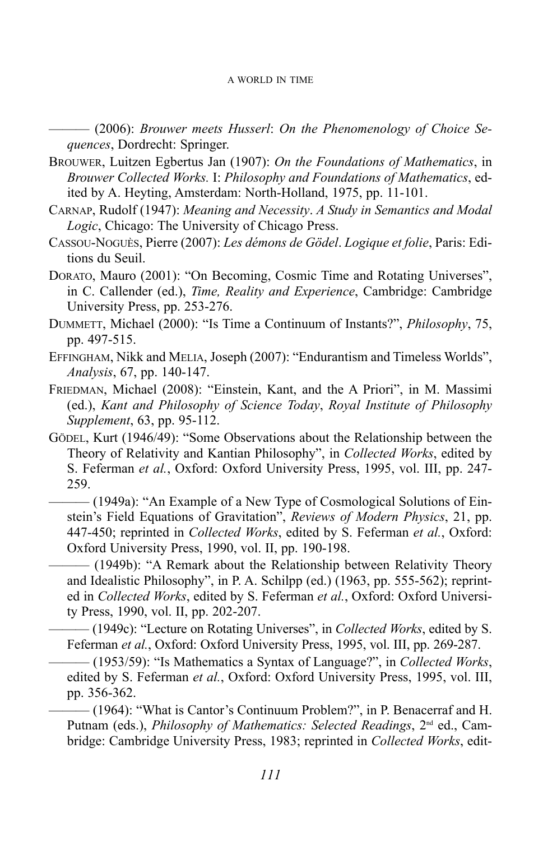$-$  (2006): *Brouwer meets Husserl: On the Phenomenology of Choice Sequences*, Dordrecht: Springer.

- BROUWER, Luitzen Egbertus Jan (1907): *On the Foundations of Mathematics*, in *Brouwer Collected Works.* I: *Philosophy and Foundations of Mathematics*, edited by A. Heyting, Amsterdam: North-Holland, 1975, pp. 11-101.
- CARNAP, Rudolf (1947): *Meaning and Necessity*. *A Study in Semantics and Modal Logic*, Chicago: The University of Chicago Press.
- CASSOU-NOGUÈS, Pierre (2007): *Les démons de Gödel*. *Logique et folie*, Paris: Editions du Seuil.
- DORATO, Mauro (2001): "On Becoming, Cosmic Time and Rotating Universes", in C. Callender (ed.), *Time, Reality and Experience*, Cambridge: Cambridge University Press, pp. 253-276.
- DUMMETT, Michael (2000): "Is Time a Continuum of Instants?", *Philosophy*, 75, pp. 497-515.
- EFFINGHAM, Nikk and MELIA, Joseph (2007): "Endurantism and Timeless Worlds", *Analysis*, 67, pp. 140-147.
- FRIEDMAN, Michael (2008): "Einstein, Kant, and the A Priori", in M. Massimi (ed.), *Kant and Philosophy of Science Today*, *Royal Institute of Philosophy Supplement*, 63, pp. 95-112.
- GÖDEL, Kurt (1946/49): "Some Observations about the Relationship between the Theory of Relativity and Kantian Philosophy", in *Collected Works*, edited by S. Feferman *et al.*, Oxford: Oxford University Press, 1995, vol. III, pp. 247- 259.

- (1949a): "An Example of a New Type of Cosmological Solutions of Einstein's Field Equations of Gravitation", *Reviews of Modern Physics*, 21, pp. 447-450; reprinted in *Collected Works*, edited by S. Feferman *et al.*, Oxford: Oxford University Press, 1990, vol. II, pp. 190-198.

- (1949b): "A Remark about the Relationship between Relativity Theory and Idealistic Philosophy", in P. A. Schilpp (ed.) (1963, pp. 555-562); reprinted in *Collected Works*, edited by S. Feferman *et al.*, Oxford: Oxford University Press, 1990, vol. II, pp. 202-207.

——— (1949c): "Lecture on Rotating Universes", in *Collected Works*, edited by S. Feferman *et al.*, Oxford: Oxford University Press, 1995, vol. III, pp. 269-287.

——— (1953/59): "Is Mathematics a Syntax of Language?", in *Collected Works*, edited by S. Feferman *et al.*, Oxford: Oxford University Press, 1995, vol. III, pp. 356-362.

 $-(1964)$ : "What is Cantor's Continuum Problem?", in P. Benacerraf and H. Putnam (eds.), *Philosophy of Mathematics: Selected Readings*, 2<sup>nd</sup> ed., Cambridge: Cambridge University Press, 1983; reprinted in *Collected Works*, edit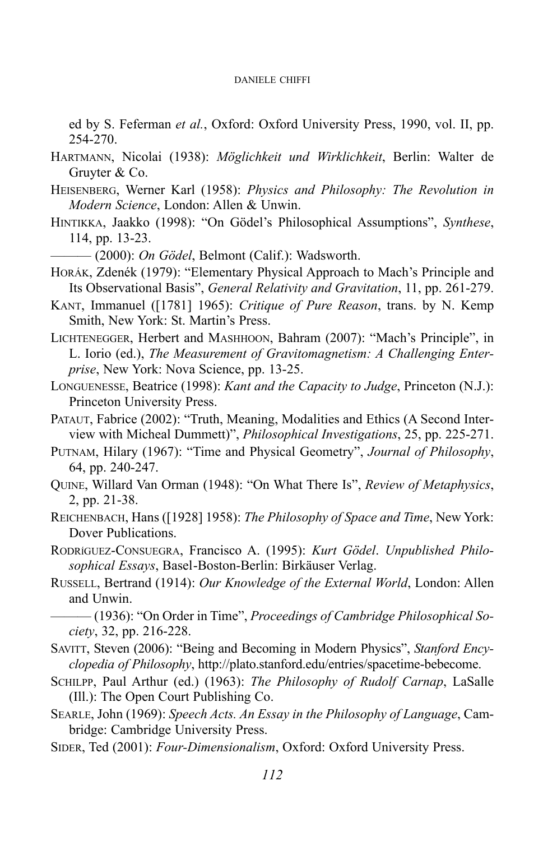ed by S. Feferman *et al.*, Oxford: Oxford University Press, 1990, vol. II, pp. 254-270.

- HARTMANN, Nicolai (1938): *Möglichkeit und Wirklichkeit*, Berlin: Walter de Gruyter & Co.
- HEISENBERG, Werner Karl (1958): *Physics and Philosophy: The Revolution in Modern Science*, London: Allen & Unwin.
- HINTIKKA, Jaakko (1998): "On Gödel's Philosophical Assumptions", *Synthese*, 114, pp. 13-23.

——— (2000): *On Gödel*, Belmont (Calif.): Wadsworth.

- HORÁK, Zdenék (1979): "Elementary Physical Approach to Mach's Principle and Its Observational Basis", *General Relativity and Gravitation*, 11, pp. 261-279.
- KANT, Immanuel ([1781] 1965): *Critique of Pure Reason*, trans. by N. Kemp Smith, New York: St. Martin's Press.
- LICHTENEGGER, Herbert and MASHHOON, Bahram (2007): "Mach's Principle", in L. Iorio (ed.), *The Measurement of Gravitomagnetism: A Challenging Enterprise*, New York: Nova Science, pp. 13-25.
- LONGUENESSE, Beatrice (1998): *Kant and the Capacity to Judge*, Princeton (N.J.): Princeton University Press.
- PATAUT, Fabrice (2002): "Truth, Meaning, Modalities and Ethics (A Second Interview with Micheal Dummett)", *Philosophical Investigations*, 25, pp. 225-271.
- PUTNAM, Hilary (1967): "Time and Physical Geometry", *Journal of Philosophy*, 64, pp. 240-247.
- QUINE, Willard Van Orman (1948): "On What There Is", *Review of Metaphysics*, 2, pp. 21-38.
- REICHENBACH, Hans ([1928] 1958): *The Philosophy of Space and Time*, New York: Dover Publications.
- RODRÍGUEZ-CONSUEGRA, Francisco A. (1995): *Kurt Gödel*. *Unpublished Philosophical Essays*, Basel-Boston-Berlin: Birkäuser Verlag.
- RUSSELL, Bertrand (1914): *Our Knowledge of the External World*, London: Allen and Unwin.
- $-$ (1936): "On Order in Time", *Proceedings of Cambridge Philosophical Society*, 32, pp. 216-228.
- SAVITT, Steven (2006): "Being and Becoming in Modern Physics", *Stanford Encyclopedia of Philosophy*, http://plato.stanford.edu/entries/spacetime-bebecome.
- SCHILPP, Paul Arthur (ed.) (1963): *The Philosophy of Rudolf Carnap*, LaSalle (Ill.): The Open Court Publishing Co.
- SEARLE, John (1969): *Speech Acts. An Essay in the Philosophy of Language*, Cambridge: Cambridge University Press.
- SIDER, Ted (2001): *Four-Dimensionalism*, Oxford: Oxford University Press.